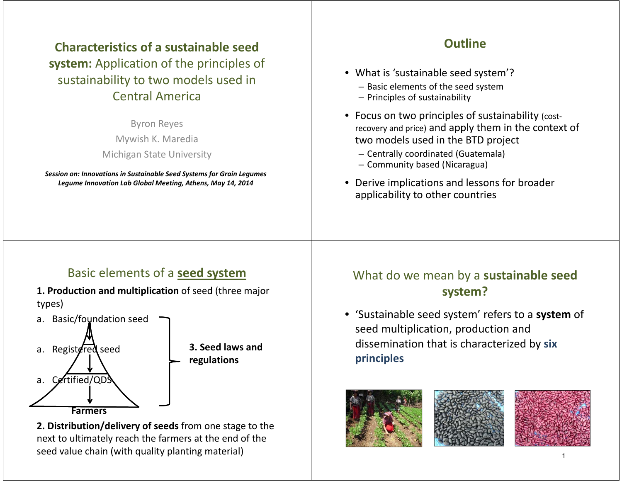# **Characteristics of a sustainable seed system:** Application of the principles of sustainability to two models used in Central America

Byron Reyes Mywish K. Maredia Michigan State University

*Session on: Innovations in Sustainable Seed Systems for Grain Legumes Legume Innovation Lab Global Meeting, Athens, May 14, 2014*

## **Outline**

- What is 'sustainable seed system'?
	- Basic elements of the seed system
	- Principles of sustainability
- Focus on two principles of sustainability (costrecovery and price) and apply them in the context of two models used in the BTD project
	- Centrally coordinated (Guatemala)
	- Community based (Nicaragua)
- Derive implications and lessons for broader applicability to other countries

# Basic elements of a **seed system**

- **1. Production and multiplication** of seed (three major types)
- a. Basic/foundation seed a. Registered seed a. Certified/ODS **Farmers3. Seed laws and regulations**

**2. Distribution/delivery of seeds** from one stage to the next to ultimately reach the farmers at the end of the seed value chain (with quality planting material)

# What do we mean by a **sustainable seed system?**

• 'Sustainable seed system' refers to a **system** of seed multiplication, production and dissemination that is characterized by **six principles**





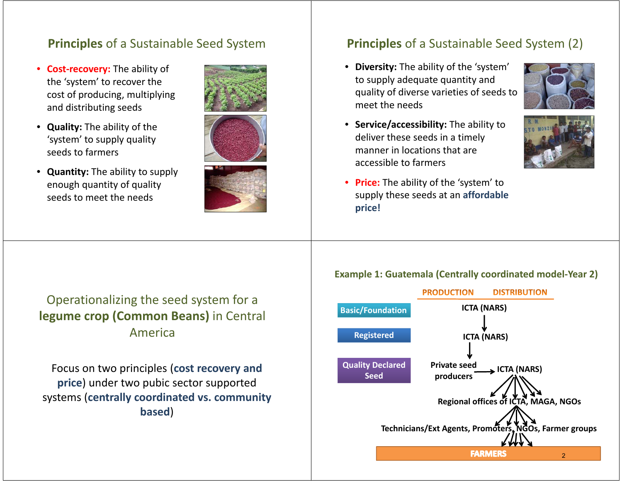## **Principles** of a Sustainable Seed System

- $\bullet$  **Cost-recovery:** The ability of the 'system' to recover the cost of producing, multiplying and distributing seeds
- **Quality:** The ability of the 'system' to supply quality seeds to farmers
- **Quantity:** The ability to supply enough quantity of quality seeds to meet the needs





## **Principles** of a Sustainable Seed System (2)

• **Diversity:** The ability of the 'system' to supply adequate quantity and quality of diverse varieties of seeds to meet the needs





# Operationalizing the seed system for a **legume crop (Common Beans)** in Central America

Focus on two principles (**cost recovery and price**) under two pubic sector supported systems (**centrally coordinated vs. community based**)

#### **Example 1: Guatemala (Centrally coordinated model-Year 2)**

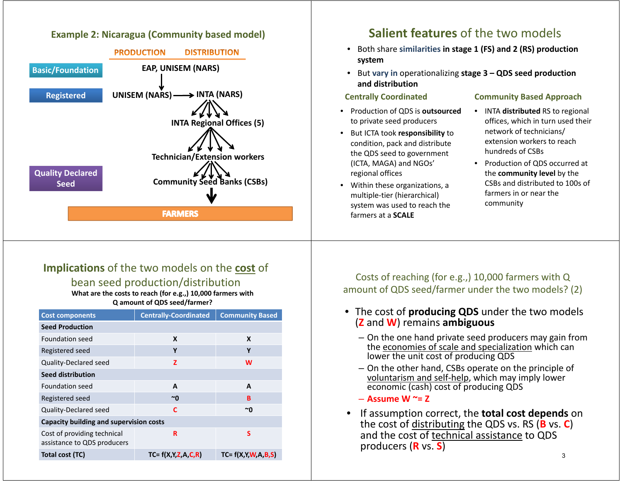#### **Example 2: Nicaragua (Community based model)**



## **Salient features** of the two models

- Both share **similarities in stage 1 (FS) and 2 (RS) production system**
- But **vary in** operationalizing **stage 3 – QDS seed production and distribution**

#### **Centrally Coordinated**

- Production of QDS is **outsourced** to private seed producers
- But ICTA took **responsibility** to condition, pack and distribute the QDS seed to government (ICTA, MAGA) and NGOs' regional offices
- Within these organizations, a multiple-tier (hierarchical) system was used to reach the farmers at a **SCALE**

#### **Community Based Approach**

- INTA **distributed** RS to regional offices, which in turn used their network of technicians/ extension workers to reach hundreds of CSBs
- Production of QDS occurred at the **community level** by the CSBs and distributed to 100s of farmers in or near the community

#### **Implications** of the two models on the **cost** of

bean seed production/distribution **What are the costs to reach (for e.g.,) 10,000 farmers with** 

**Q amount of QDS seed/farmer?**

| <b>Cost components</b>                                     | <b>Centrally-Coordinated</b> | <b>Community Based</b> |
|------------------------------------------------------------|------------------------------|------------------------|
| <b>Seed Production</b>                                     |                              |                        |
| Foundation seed                                            | X                            | X                      |
| Registered seed                                            | Υ                            | Υ                      |
| Quality-Declared seed                                      | z                            | W                      |
| <b>Seed distribution</b>                                   |                              |                        |
| Foundation seed                                            | A                            | A                      |
| Registered seed                                            | $~\sim$ 0                    | B                      |
| Quality-Declared seed                                      | C                            | ~0                     |
| <b>Capacity building and supervision costs</b>             |                              |                        |
| Cost of providing technical<br>assistance to QDS producers | R                            | S                      |
| <b>Total cost (TC)</b>                                     | $TC = f(X,Y,Z,A,C,R)$        | $TC = f(X,Y,W,A,B,S)$  |

Costs of reaching (for e.g.,) 10,000 farmers with Q amount of QDS seed/farmer under the two models? (2)

- The cost of **producing QDS** under the two models (**Z** and **W**) remains **ambiguous**
	- On the one hand private seed producers may gain from the economies of scale and specialization which can lower the unit cost of producing QDS
	- On the other hand, CSBs operate on the principle of voluntarism and self-help, which may imply lower economic (cash) cost of producing QDS
	- **Assume W ~= Z**
- • If assumption correct, the **total cost depends** on the cost of distributing the QDS vs. RS (**B** vs. **C**) and the cost of technical assistance to QDS producers (**R** vs. **S**)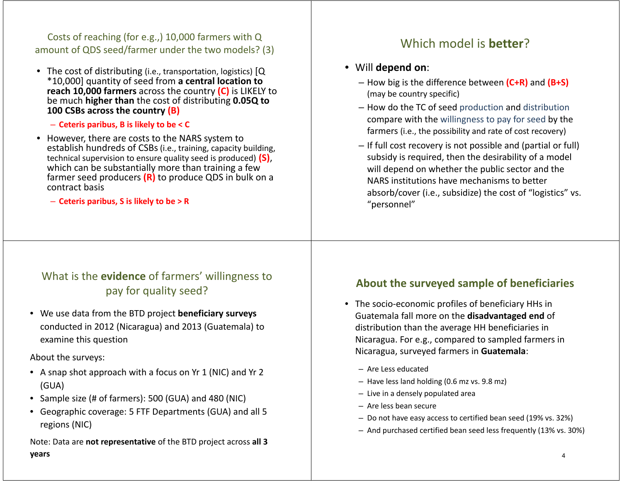Costs of reaching (for e.g.,) 10,000 farmers with Q amount of QDS seed/farmer under the two models? (3) Which model is **better**?

• The cost of distributing (i.e., transportation, logistics) [Q \*10,000] quantity of seed from **a central location to reach 10,000 farmers** across the country **(C)** is LIKELY to be much **higher than** the cost of distributing **0.05Q to 100 CSBs across the country (B)**

– **Ceteris paribus, B is likely to be < C**

• However, there are costs to the NARS system to establish hundreds of CSBs (i.e., training, capacity building, technical supervision to ensure quality seed is produced) **(S)**, which can be substantially more than training a few farmer seed producers **(R)** to produce QDS in bulk on a contract basis

– **Ceteris paribus, S is likely to be > R**

#### • Will **depend on**:

- How big is the difference between **(C+R)** and **(B+S)** (may be country specific)
- How do the TC of seed production and distribution compare with the willingness to pay for seed by the farmers (i.e., the possibility and rate of cost recovery)
- If full cost recovery is not possible and (partial or full) subsidy is required, then the desirability of a model will depend on whether the public sector and the NARS institutions have mechanisms to better absorb/cover (i.e., subsidize) the cost of "logistics" vs. "personnel"

## What is the **evidence** of farmers' willingness to pay for quality seed?

• We use data from the BTD project **beneficiary surveys**  conducted in 2012 (Nicaragua) and 2013 (Guatemala) to examine this question

About the surveys:

- A snap shot approach with a focus on Yr 1 (NIC) and Yr 2 (GUA)
- Sample size (# of farmers): 500 (GUA) and 480 (NIC)
- Geographic coverage: 5 FTF Departments (GUA) and all 5 regions (NIC)

Note: Data are **not representative** of the BTD project across **all 3 years**

### **About the surveyed sample of beneficiaries**

- The socio-economic profiles of beneficiary HHs in Guatemala fall more on the **disadvantaged end** of distribution than the average HH beneficiaries in Nicaragua. For e.g., compared to sampled farmers in Nicaragua, surveyed farmers in **Guatemala**:
	- Are Less educated
	- Have less land holding (0.6 mz vs. 9.8 mz)
	- Live in a densely populated area
	- Are less bean secure
	- Do not have easy access to certified bean seed (19% vs. 32%)
	- And purchased certified bean seed less frequently (13% vs. 30%)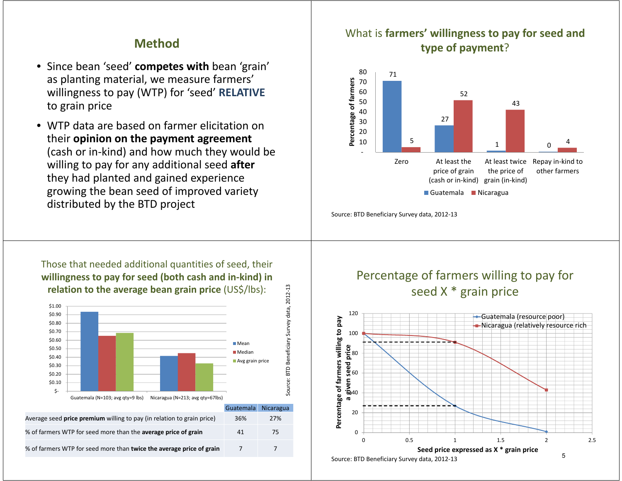#### **Method**

- Since bean 'seed' **competes with** bean 'grain' as planting material, we measure farmers' willingness to pay (WTP) for 'seed' **RELATIVE** to grain price
- WTP data are based on farmer elicitation on their **opinion on the payment agreement** (cash or in-kind) and how much they would be willing to pay for any additional seed **after**  they had planted and gained experience growing the bean seed of improved variety distributed by the BTD project

#### What is **farmers' willingness to pay for seed and type of payment** ?



Source: BTD Beneficiary Survey data, 2012-13

Those that needed additional quantities of seed, their **willingness to pay for seed (both cash and in-kind) in relation to the average bean grain price** (US\$/lbs):



% of farmers WTP for seed more than **twice the average price of grain** 7 7

Percentage of farmers willing to pay for seed X \* grain price